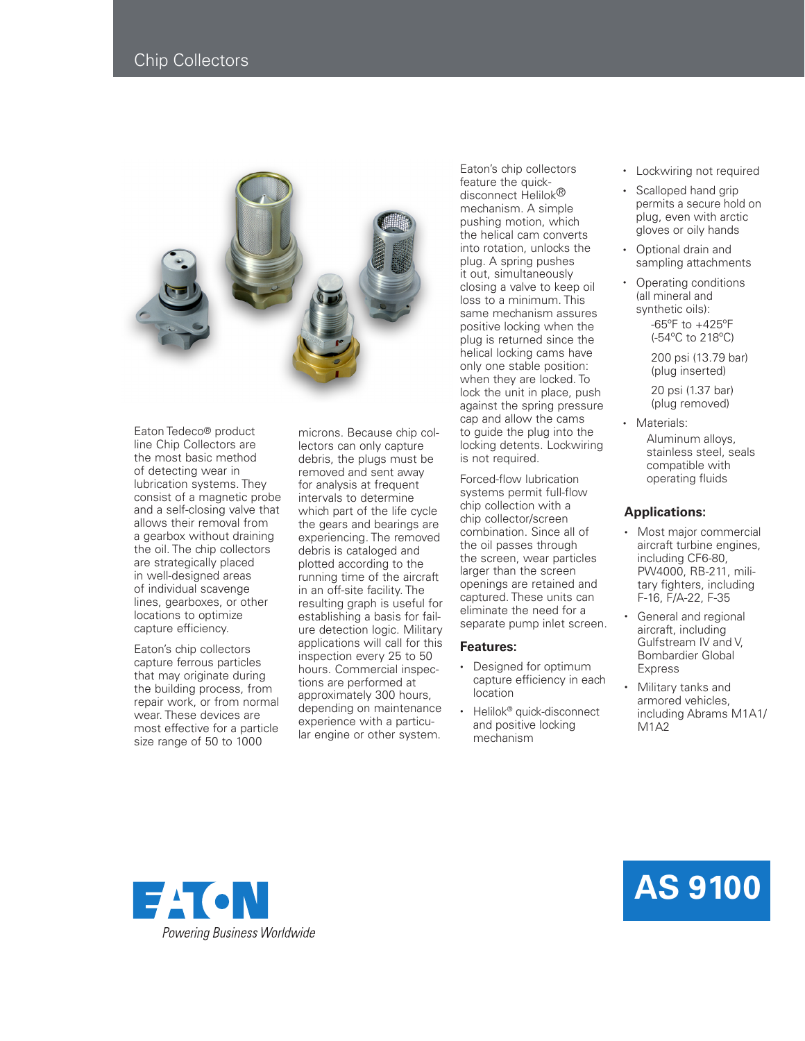## Chip Collectors



Eaton Tedeco® product line Chip Collectors are the most basic method of detecting wear in lubrication systems. They consist of a magnetic probe and a self-closing valve that allows their removal from a gearbox without draining the oil. The chip collectors are strategically placed in well-designed areas of individual scavenge lines, gearboxes, or other locations to optimize capture efficiency.

Eaton's chip collectors capture ferrous particles that may originate during the building process, from repair work, or from normal wear. These devices are most effective for a particle size range of 50 to 1000

microns. Because chip collectors can only capture debris, the plugs must be removed and sent away for analysis at frequent intervals to determine which part of the life cycle the gears and bearings are experiencing. The removed debris is cataloged and plotted according to the running time of the aircraft in an off-site facility. The resulting graph is useful for establishing a basis for failure detection logic. Military applications will call for this inspection every 25 to 50 hours. Commercial inspections are performed at approximately 300 hours, depending on maintenance experience with a particular engine or other system.

Eaton's chip collectors feature the quickdisconnect Helilok® mechanism. A simple pushing motion, which the helical cam converts into rotation, unlocks the plug. A spring pushes it out, simultaneously closing a valve to keep oil loss to a minimum. This same mechanism assures positive locking when the plug is returned since the helical locking cams have only one stable position: when they are locked. To lock the unit in place, push against the spring pressure cap and allow the cams to guide the plug into the locking detents. Lockwiring is not required.

Forced-flow lubrication systems permit full-flow chip collection with a chip collector/screen combination. Since all of the oil passes through the screen, wear particles larger than the screen openings are retained and captured. These units can eliminate the need for a separate pump inlet screen.

## **Features:**

- Designed for optimum capture efficiency in each location
- Helilok<sup>®</sup> quick-disconnect and positive locking mechanism
- Lockwiring not required
- Scalloped hand grip permits a secure hold on plug, even with arctic gloves or oily hands
- Optional drain and sampling attachments
- Operating conditions (all mineral and synthetic oils):

 -65ºF to +425ºF (-54ºC to 218ºC)

 200 psi (13.79 bar) (plug inserted)

 20 psi (1.37 bar) (plug removed)

• Materials: Aluminum alloys, stainless steel, seals compatible with operating fluids

## **Applications:**

- Most major commercial aircraft turbine engines, including CF6-80, PW4000, RB-211, military fighters, including F-16, F/A-22, F-35
- General and regional aircraft, including Gulfstream IV and V, Bombardier Global **Express**
- Military tanks and armored vehicles, including Abrams M1A1/ M<sub>1</sub>A<sub>2</sub>



## **AS 9100**